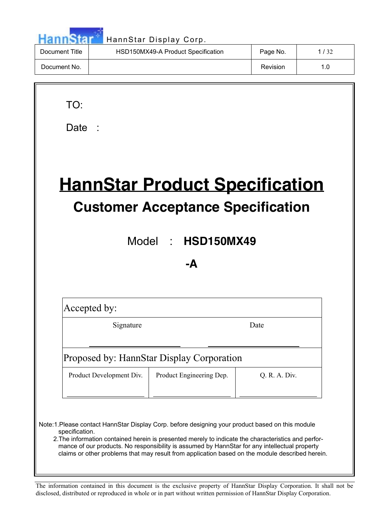|                | HannStar Display Corp.             |          |      |
|----------------|------------------------------------|----------|------|
| Document Title | HSD150MX49-A Product Specification | Page No. | 1/32 |
| Document No.   |                                    | Revision | 1.0  |
|                |                                    |          |      |

| Date |  |
|------|--|
|      |  |

TO:

# **HannStar Product Specification Customer Acceptance Specification**

Model : **HSD150MX49**

**-A**

Accepted by:

 $\overline{a}$ 

 $\overline{a}$ 

Signature Date

Proposed by: HannStar Display Corporation

Product Development Div. Product Engineering Dep. Q. R. A. Div.

 Note:1.Please contact HannStar Display Corp. before designing your product based on this module specification.

2.The information contained herein is presented merely to indicate the characteristics and performance of our products. No responsibility is assumed by HannStar for any intellectual property claims or other problems that may result from application based on the module described herein.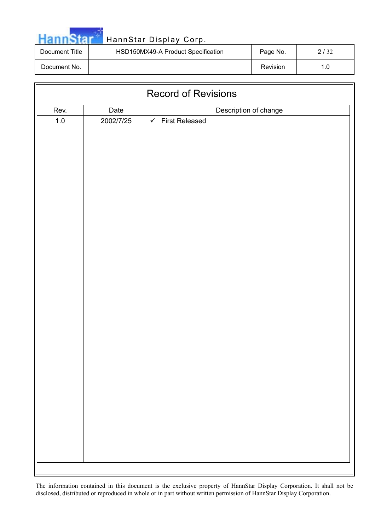| <b>HannStar</b> |  |  |
|-----------------|--|--|

## HannStar Display Corp.

| Document Title | HSD150MX49-A Product Specification | Page No. |                  |
|----------------|------------------------------------|----------|------------------|
| Document No.   |                                    | Revision | 1.0 <sub>1</sub> |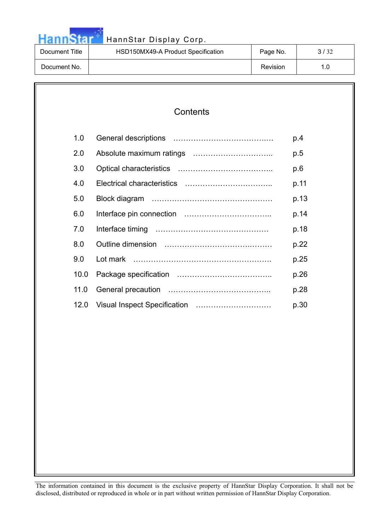

# HannStar<sup>t HannStar Display Corp.</sup>

| Document Title | HSD150MX49-A Product Specification | Page No. |  |
|----------------|------------------------------------|----------|--|
| Document No.   |                                    | Revision |  |

| 1.0  | p.4  |
|------|------|
| 2.0  | p.5  |
| 3.0  | p.6  |
| 4.0  | p.11 |
| 5.0  | p.13 |
| 6.0  | p.14 |
| 7.0  | p.18 |
| 8.0  | p.22 |
| 9.0  | p.25 |
| 10.0 | p.26 |
| 11.0 | p.28 |
| 12.0 | p.30 |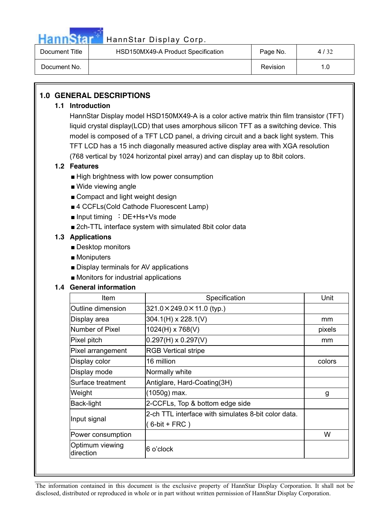

| Document Title | HSD150MX49-A Product Specification |          | 4/32 |
|----------------|------------------------------------|----------|------|
| Document No.   |                                    | Revision |      |

### **1.0 GENERAL DESCRIPTIONS**

#### **1.1 Introduction**

HannStar Display model HSD150MX49-A is a color active matrix thin film transistor (TFT) liquid crystal display(LCD) that uses amorphous silicon TFT as a switching device. This model is composed of a TFT LCD panel, a driving circuit and a back light system. This TFT LCD has a 15 inch diagonally measured active display area with XGA resolution (768 vertical by 1024 horizontal pixel array) and can display up to 8bit colors.

### **1.2 Features**

- $\blacksquare$  High brightness with low power consumption
- $\blacksquare$  Wide viewing angle
- $\blacksquare$  Compact and light weight design
- 4 CCFLs(Cold Cathode Fluorescent Lamp)
- $\blacksquare$  Input timing : DE+Hs+Vs mode
- 2ch-TTL interface system with simulated 8bit color data

#### **1.3 Applications**

- $\blacksquare$  Desktop monitors
- $\blacksquare$  Moniputers
- $\blacksquare$  Display terminals for AV applications
- $\blacksquare$  Monitors for industrial applications

#### **1.4 General information**

| Item                         | Specification                                                          | Unit   |
|------------------------------|------------------------------------------------------------------------|--------|
| Outline dimension            | $321.0 \times 249.0 \times 11.0$ (typ.)                                |        |
| Display area                 | $304.1(H) \times 228.1(V)$                                             | mm     |
| Number of Pixel              | 1024(H) x 768(V)                                                       | pixels |
| Pixel pitch                  | $0.297(H) \times 0.297(V)$                                             | mm     |
| Pixel arrangement            | <b>RGB Vertical stripe</b>                                             |        |
| Display color                | 16 million                                                             | colors |
| Display mode                 | Normally white                                                         |        |
| Surface treatment            | Antiglare, Hard-Coating(3H)                                            |        |
| Weight                       | (1050g) max.                                                           | g      |
| Back-light                   | 2-CCFLs, Top & bottom edge side                                        |        |
| Input signal                 | 2-ch TTL interface with simulates 8-bit color data.<br>$(6-bit + FRC)$ |        |
| Power consumption            |                                                                        | W      |
| Optimum viewing<br>direction | 6 o'clock                                                              |        |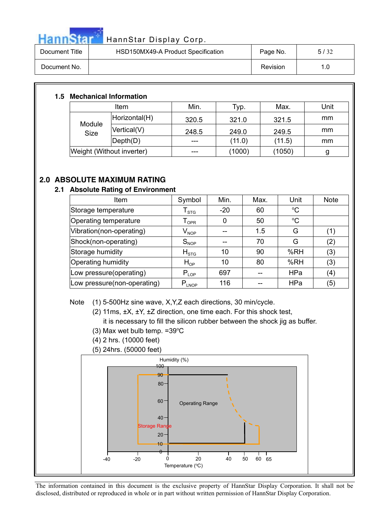

| Document Title | HSD150MX49-A Product Specification |          | 5/32 |
|----------------|------------------------------------|----------|------|
| Document No.   |                                    | Revision | 1.0  |

### **1.5 Mechanical Information**

| <b>Item</b>               |                              | Min.  | Typ.   | Max.   | Unit |
|---------------------------|------------------------------|-------|--------|--------|------|
| Module<br><b>Size</b>     | Horizontal(H)                | 320.5 | 321.0  | 321.5  | mm   |
|                           | Vertical(V)                  | 248.5 | 249.0  | 249.5  | mm   |
|                           | $\mathsf{Depth}(\mathsf{D})$ |       | (11.0) | (11.5) | mm   |
| Weight (Without inverter) |                              |       | (1000) | (1050) |      |

### **2.0 ABSOLUTE MAXIMUM RATING**

### **2.1 Absolute Rating of Environment**

| Item                        | Symbol                      | Min.  | Max. | Unit            | <b>Note</b> |
|-----------------------------|-----------------------------|-------|------|-----------------|-------------|
| Storage temperature         | ${\mathsf T}_{\text{STG}}$  | $-20$ | 60   | $\rm ^{o}C$     |             |
| Operating temperature       | $\mathsf{T}_{\mathsf{OPR}}$ |       | 50   | $\rm ^{\circ}C$ |             |
| Vibration(non-operating)    | $V_{\mathsf{NOP}}$          |       | 1.5  | G               | (1)         |
| Shock(non-operating)        | $S_{NOP}$                   |       | 70   | G               | (2)         |
| Storage humidity            | $H_{STG}$                   | 10    | 90   | %RH             | (3)         |
| Operating humidity          | $H_{OP}$                    | 10    | 80   | %RH             | (3)         |
| Low pressure(operating)     | $P_{LOP}$                   | 697   |      | HPa             | (4)         |
| Low pressure(non-operating) | $P_{LNOP}$                  | 116   |      | HPa             | (5)         |

Note (1) 5-500Hz sine wave, X,Y,Z each directions, 30 min/cycle.

(2) 11ms, ±X, ±Y, ±Z direction, one time each. For this shock test,

it is necessary to fill the silicon rubber between the shock jig as buffer.

- $(3)$  Max wet bulb temp. = 39°C
- (4) 2 hrs. (10000 feet)
- (5) 24hrs. (50000 feet)

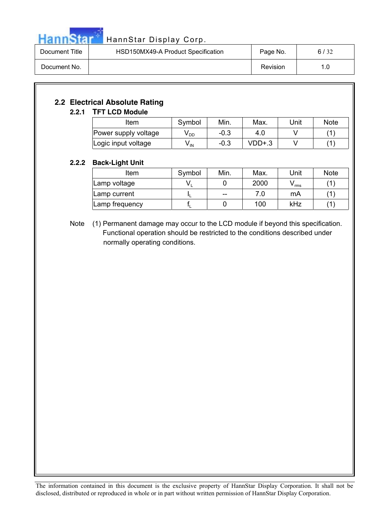

| Document Title | HSD150MX49-A Product Specification | Page No. | 6/32 |
|----------------|------------------------------------|----------|------|
| Document No.   |                                    | Revision | 1.0  |

### **2.2 Electrical Absolute Rating**

### **2.2.1 TFT LCD Module**

| Item                 | Symbol          | Min.   | Max.   | Unit | <b>Note</b> |
|----------------------|-----------------|--------|--------|------|-------------|
| Power supply voltage | y <sub>DD</sub> | $-0.3$ | 4.0    |      |             |
| Logic input voltage  | V IN            | $-0.3$ | VDD+.3 |      |             |

### **2.2.2 Back-Light Unit**

| Item           | Symbol | Min.  | Max. | Unit         | <b>Note</b> |
|----------------|--------|-------|------|--------------|-------------|
| Lamp voltage   | v.     |       | 2000 | <b>v</b> rms |             |
| Lamp current   |        | $- -$ | 7.0  | mA           |             |
| Lamp frequency |        |       | 100  | kHz          |             |

Note (1) Permanent damage may occur to the LCD module if beyond this specification. Functional operation should be restricted to the conditions described under normally operating conditions.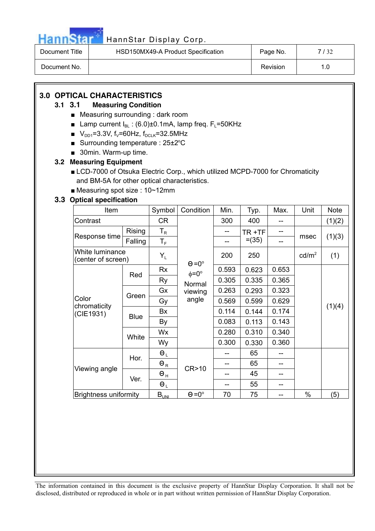

| Document Title | HSD150MX49-A Product Specification | Page No. | 132  |
|----------------|------------------------------------|----------|------|
| Document No.   |                                    | Revision | ı .O |

### **3.0 OPTICAL CHARACTERISTICS**

### **3.1 3.1 Measuring Condition**

- $\blacksquare$  Measuring surrounding : dark room
- **E** Lamp current  $I_{BL}$  : (6.0)±0.1mA, lamp freq.  $F_L$ =50KHz
- $V_{DD1}=3.3V$ , f<sub>v</sub>=60Hz, f<sub>DCLK</sub>=32.5MHz
- Surrounding temperature :  $25\pm2^{\circ}C$
- $\blacksquare$  30min. Warm-up time.

### **3.2 Measuring Equipment**

- LCD-7000 of Otsuka Electric Corp., which utilized MCPD-7000 for Chromaticity and BM-5A for other optical characteristics.
- $\blacksquare$  Measuring spot size : 10~12mm

### **3.3 Optical specification**

| Item                                  |             | Symbol                    | Condition                  | Min.  | Typ.     | Max.  | Unit              | <b>Note</b> |
|---------------------------------------|-------------|---------------------------|----------------------------|-------|----------|-------|-------------------|-------------|
| Contrast                              |             | CR                        |                            | 300   | 400      | --    |                   | (1)(2)      |
| Response time                         | Rising      | $\mathsf{T}_{\mathsf{R}}$ |                            |       | TR +TF   |       |                   |             |
|                                       | Falling     | $\mathsf{T}_\mathsf{F}$   |                            | $-$   | $= (35)$ | --    | msec              | (1)(3)      |
| White luminance<br>(center of screen) |             | $Y_L$                     | $\Theta = 0^\circ$         | 200   | 250      |       | cd/m <sup>2</sup> | (1)         |
|                                       |             | Rx                        | $\phi = 0^{\circ}$         | 0.593 | 0.623    | 0.653 |                   |             |
|                                       | Red         | Ry                        | Normal<br>viewing<br>angle | 0.305 | 0.335    | 0.365 |                   |             |
|                                       | Green       | Gx                        |                            | 0.263 | 0.293    | 0.323 |                   |             |
| Color                                 |             | Gy                        |                            | 0.569 | 0.599    | 0.629 |                   |             |
| chromaticity<br>(CIE1931)             | <b>Blue</b> | Bx                        |                            | 0.114 | 0.144    | 0.174 |                   | (1)(4)      |
|                                       |             | By                        |                            | 0.083 | 0.113    | 0.143 |                   |             |
|                                       |             | Wx                        |                            | 0.280 | 0.310    | 0.340 |                   |             |
|                                       | White       | Wy                        |                            | 0.300 | 0.330    | 0.360 |                   |             |
|                                       | Hor.        | $\Theta_L$                |                            |       | 65       |       |                   |             |
|                                       |             | $\Theta_R$                |                            |       | 65       |       |                   |             |
| Viewing angle                         | Ver.        | $\Theta$ <sub>H</sub>     | CR>10                      |       | 45       |       |                   |             |
|                                       |             | $\Theta_L$                |                            |       | 55       | --    |                   |             |
| <b>Brightness uniformity</b>          |             | $B_{UNI}$                 | $\Theta = 0^\circ$         | 70    | 75       |       | %                 | (5)         |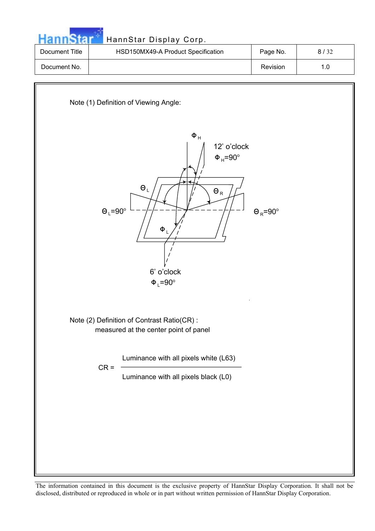

 $Φ<sub>L</sub>=90°$ 

Note (2) Definition of Contrast Ratio(CR) : measured at the center point of panel

Luminance with all pixels white (L63)

 $CR =$ 

Luminance with all pixels black (L0)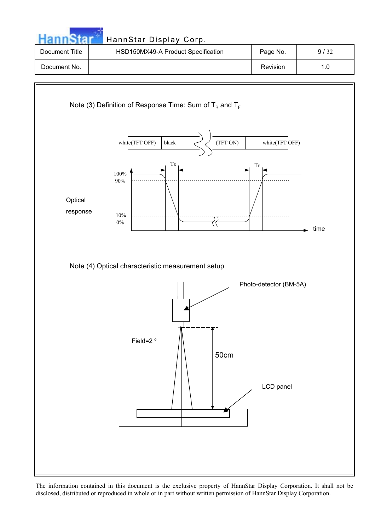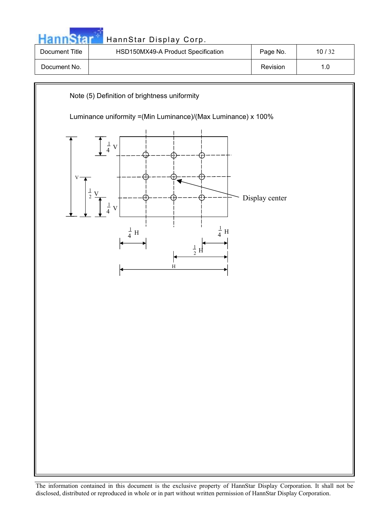| HannStar Display Corp.                                                                                                                                  |                                         |                                                                                              |
|---------------------------------------------------------------------------------------------------------------------------------------------------------|-----------------------------------------|----------------------------------------------------------------------------------------------|
|                                                                                                                                                         |                                         | 10/32                                                                                        |
|                                                                                                                                                         | Revision                                | 1.0                                                                                          |
| Note (5) Definition of brightness uniformity<br>$\frac{1}{4}$<br>$\mathbf V$<br>$\overline{V}$<br>$\frac{1}{4}$ H<br>$\frac{1}{4}$ H<br>$\frac{1}{2}$ H |                                         |                                                                                              |
|                                                                                                                                                         | HSD150MX49-A Product Specification<br>H | Page No.<br>Luminance uniformity = (Min Luminance)/ (Max Luminance) x 100%<br>Display center |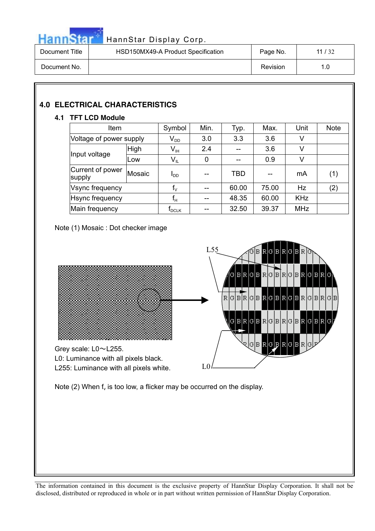

| Document Title | HSD150MX49-A Product Specification | Page No. | 11/32 |
|----------------|------------------------------------|----------|-------|
| Document No.   |                                    | Revision | 1.0   |

### **4.0 ELECTRICAL CHARACTERISTICS**

### **4.1 TFT LCD Module**

| Item                       |               | Symbol                       | Min. | Typ.  | Max.  | Unit       | <b>Note</b> |
|----------------------------|---------------|------------------------------|------|-------|-------|------------|-------------|
| Voltage of power supply    |               | $V_{DD}$                     | 3.0  | 3.3   | 3.6   | ٧          |             |
| Input voltage              | High          | $\mathsf{V}_{\mathsf{IH}}$   | 2.4  |       | 3.6   | V          |             |
|                            | Low           | $V_{IL}$                     | 0    |       | 0.9   | ٧          |             |
| Current of power<br>supply | <b>Mosaic</b> | l <sub>DD</sub>              |      | TBD   | --    | mA         | (1)         |
| Vsync frequency            |               | $f_{\vee}$                   | --   | 60.00 | 75.00 | Hz         | (2)         |
| Hsync frequency            |               | $f_H$                        |      | 48.35 | 60.00 | <b>KHz</b> |             |
| Main frequency             |               | $\mathsf{r}_{\mathsf{DCLK}}$ |      | 32.50 | 39.37 | <b>MHz</b> |             |

Note (1) Mosaic : Dot checker image



Note (2) When  $f_v$  is too low, a flicker may be occurred on the display.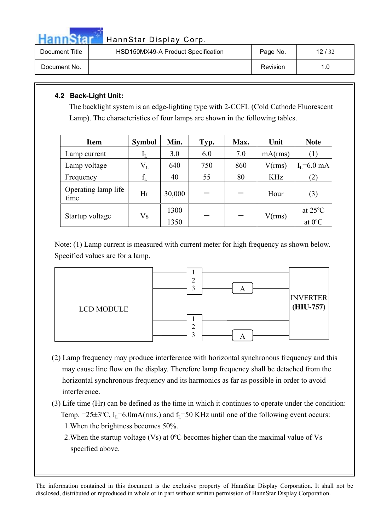

| Document Title | HSD150MX49-A Product Specification | Page No. | 12/32 |
|----------------|------------------------------------|----------|-------|
| Document No.   |                                    | Revision | 1.0   |

### **4.2 Back-Light Unit:**

The backlight system is an edge-lighting type with 2-CCFL (Cold Cathode Fluorescent Lamp). The characteristics of four lamps are shown in the following tables.

| Item                        | <b>Symbol</b>             | Min.   | Typ. | Max. | Unit       | <b>Note</b>       |
|-----------------------------|---------------------------|--------|------|------|------------|-------------------|
| Lamp current                | $\mathbf{I}_{\mathrm{L}}$ | 3.0    | 6.0  | 7.0  | mA(rms)    |                   |
| Lamp voltage                | $V_{L}$                   | 640    | 750  | 860  | V(rms)     | $I_{I} = 6.0$ mA  |
| Frequency                   | $f_{\rm L}$               | 40     | 55   | 80   | <b>KHz</b> | (2)               |
| Operating lamp life<br>time | Hr                        | 30,000 |      |      | Hour       | (3)               |
|                             |                           | 1300   |      |      |            | at $25^{\circ}$ C |
| Startup voltage             | Vs                        | 1350   |      |      | V(rms)     | at $0^{\circ}$ C  |

Note: (1) Lamp current is measured with current meter for high frequency as shown below. Specified values are for a lamp.



- (2) Lamp frequency may produce interference with horizontal synchronous frequency and this may cause line flow on the display. Therefore lamp frequency shall be detached from the horizontal synchronous frequency and its harmonics as far as possible in order to avoid interference.
- (3) Life time (Hr) can be defined as the time in which it continues to operate under the condition: Temp. =25 $\pm$ 3°C, I<sub>L</sub>=6.0mA(rms.) and f<sub>L</sub>=50 KHz until one of the following event occurs: 1.When the brightness becomes 50%.
	- 2.When the startup voltage (Vs) at 0ºC becomes higher than the maximal value of Vs specified above.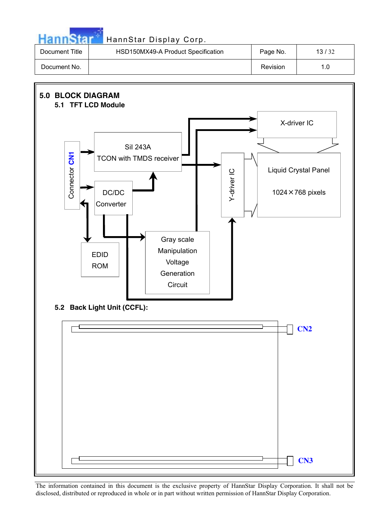|                | HannStar Display Corp.             |          |       |
|----------------|------------------------------------|----------|-------|
| Document Title | HSD150MX49-A Product Specification | Page No. | 13/32 |
| Document No.   |                                    | Revision | 1.0   |

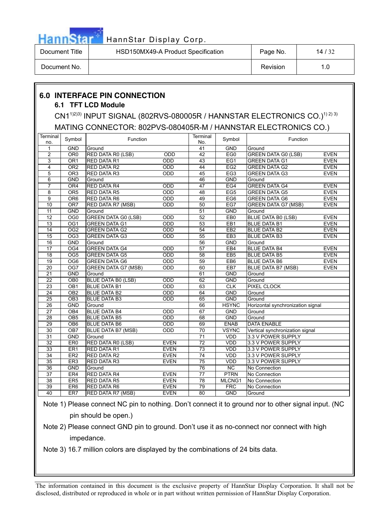

| Document Title | HSD150MX49-A Product Specification | Page No. | 14/32 |
|----------------|------------------------------------|----------|-------|
| Document No.   |                                    | Revision |       |

### **6.0 INTERFACE PIN CONNECTION**

### **6.1 TFT LCD Module**

CN1<sup>1)2)3)</sup> INPUT SIGNAL (802RVS-080005R / HANNSTAR ELECTRONICS CO.)<sup>1) 2) 3)</sup> MATING CONNECTOR: 802PVS-080405R-M / HANNSTAR ELECTRONICS CO.)

| Terminal<br>no. | Symbol           | Function                   |             | Terminal<br>No. | Symbol          | Function                                  |
|-----------------|------------------|----------------------------|-------------|-----------------|-----------------|-------------------------------------------|
| 1               | <b>GND</b>       | Ground                     |             | 41              | <b>GND</b>      | Ground                                    |
| $\overline{c}$  | OR <sub>0</sub>  | <b>RED DATA R0 (LSB)</b>   | ODD         | 42              | EG0             | <b>GREEN DATA G0 (LSB)</b><br><b>EVEN</b> |
| 3               | OR <sub>1</sub>  | <b>RED DATA R1</b>         | ODD         | $\overline{43}$ | EG1             | <b>EVEN</b><br><b>GREEN DATA G1</b>       |
| $\overline{4}$  | OR2              | <b>RED DATA R2</b>         | ODD         | $\overline{44}$ | EG <sub>2</sub> | <b>EVEN</b><br><b>GREEN DATA G2</b>       |
| 5               | OR <sub>3</sub>  | <b>RED DATA R3</b>         | ODD         | 45              | EG <sub>3</sub> | <b>EVEN</b><br><b>GREEN DATA G3</b>       |
| 6               | <b>GND</b>       | Ground                     |             | 46              | <b>GND</b>      | Ground                                    |
| $\overline{7}$  | OR4              | <b>RED DATA R4</b>         | ODD         | 47              | EG4             | <b>GREEN DATA G4</b><br><b>EVEN</b>       |
| 8               | OR <sub>5</sub>  | <b>RED DATA R5</b>         | ODD         | $\overline{48}$ | EG <sub>5</sub> | <b>EVEN</b><br><b>GREEN DATA G5</b>       |
| 9               | OR <sub>6</sub>  | <b>RED DATA R6</b>         | ODD         | 49              | EG6             | <b>EVEN</b><br><b>GREEN DATA G6</b>       |
| 10              | OR7              | <b>RED DATA R7 (MSB)</b>   | ODD         | 50              | EG7             | <b>EVEN</b><br><b>GREEN DATA G7 (MSB)</b> |
| 11              | <b>GND</b>       | Ground                     |             | 51              | GND             | Ground                                    |
| $\overline{12}$ | $\overline{OG0}$ | <b>GREEN DATA G0 (LSB)</b> | ODD         | 52              | EB <sub>0</sub> | <b>BLUE DATA B0 (LSB)</b><br><b>EVEN</b>  |
| 13              | OG1              | <b>GREEN DATA G1</b>       | ODD         | 53              | EB1             | <b>EVEN</b><br><b>BLUE DATA B1</b>        |
| 14              | $\overline{OG2}$ | <b>GREEN DATA G2</b>       | ODD         | $\overline{54}$ | EB <sub>2</sub> | <b>BLUE DATA B2</b><br><b>EVEN</b>        |
| 15              | $\overline{OG3}$ | <b>GREEN DATA G3</b>       | ODD         | 55              | EB <sub>3</sub> | <b>EVEN</b><br><b>BLUE DATA B3</b>        |
| 16              | <b>GND</b>       | Ground                     |             | $\overline{56}$ | <b>GND</b>      | Ground                                    |
| $\overline{17}$ | OG <sub>4</sub>  | <b>GREEN DATA G4</b>       | ODD         | 57              | EB4             | <b>BLUE DATA B4</b><br><b>EVEN</b>        |
| 18              | OG <sub>5</sub>  | <b>GREEN DATA G5</b>       | ODD         | 58              | EB <sub>5</sub> | <b>BLUE DATA B5</b><br><b>EVEN</b>        |
| $\overline{19}$ | $\overline{OG6}$ | <b>GREEN DATA G6</b>       | ODD         | 59              | EB <sub>6</sub> | <b>EVEN</b><br><b>BLUE DATA B6</b>        |
| 20              | OG7              | <b>GREEN DATA G7 (MSB)</b> | ODD         | 60              | EB7             | <b>BLUE DATA B7 (MSB)</b><br><b>EVEN</b>  |
| $\overline{21}$ | <b>GND</b>       | Ground                     |             | 61              | <b>GND</b>      | Ground                                    |
| 22              | OB <sub>0</sub>  | <b>BLUE DATA BO (LSB)</b>  | ODD         | 62              | <b>GND</b>      | Ground                                    |
| $\overline{23}$ | $\overline{OB1}$ | <b>BLUE DATA B1</b>        | ODD         | 63              | CLK             | <b>PIXEL CLOCK</b>                        |
| $\overline{24}$ | OB <sub>2</sub>  | <b>BLUE DATA B2</b>        | ODD         | 64              | <b>GND</b>      | Ground                                    |
| $\overline{25}$ | $\overline{OB3}$ | <b>BLUE DATA B3</b>        | ODD         | 65              | <b>GND</b>      | Ground                                    |
| 26              | <b>GND</b>       | Ground                     |             | 66              | <b>HSYNC</b>    | Horizontal synchronization signal         |
| 27              | OB <sub>4</sub>  | <b>BLUE DATA B4</b>        | ODD         | 67              | <b>GND</b>      | Ground                                    |
| $\overline{28}$ | OB <sub>5</sub>  | <b>BLUE DATA B5</b>        | ODD         | 68              | <b>GND</b>      | Ground                                    |
| 29              | OB <sub>6</sub>  | <b>BLUE DATA B6</b>        | ODD         | 69              | <b>ENAB</b>     | <b>DATA ENABLE</b>                        |
| $\overline{30}$ | OB7              | <b>BLUE DATA B7 (MSB)</b>  | ODD         | 70              | <b>VSYNC</b>    | Vertical synchronization signal           |
| 31              | <b>GND</b>       | Ground                     |             | 71              | <b>VDD</b>      | 3.3 V POWER SUPPLY                        |
| $\overline{32}$ | ER <sub>0</sub>  | RED DATA R0 (LSB)          | <b>EVEN</b> | $\overline{72}$ | VDD             | 3.3 V POWER SUPPLY                        |
| 33              | ER <sub>1</sub>  | RED DATA R1                | <b>EVEN</b> | 73              | <b>VDD</b>      | 3.3 V POWER SUPPLY                        |
| 34              | ER2              | <b>RED DATA R2</b>         | <b>EVEN</b> | 74              | <b>VDD</b>      | 3.3 V POWER SUPPLY                        |
| 35              | ER <sub>3</sub>  | <b>RED DATA R3</b>         | <b>EVEN</b> | 75              | <b>VDD</b>      | 3.3 V POWER SUPPLY                        |
| 36              | <b>GND</b>       | Ground                     |             | 76              | NC              | No Connection                             |
| 37              | ER <sub>4</sub>  | <b>RED DATA R4</b>         | <b>EVEN</b> | 77              | <b>PTRN</b>     | No Connection                             |
| $\overline{38}$ | ER <sub>5</sub>  | <b>RED DATA R5</b>         | <b>EVEN</b> | $\overline{78}$ | MLCNG1          | No Connection                             |
| $\overline{39}$ | ER6              | <b>RED DATA R6</b>         | <b>EVEN</b> | 79              | <b>FRC</b>      | No Connection                             |
| 40              | ER7              | <b>RED DATA R7 (MSB)</b>   | <b>EVEN</b> | $\overline{80}$ | <b>GND</b>      | Ground                                    |

Note 1) Please connect NC pin to nothing. Don't connect it to ground nor to other signal input. (NC pin should be open.)

Note 2) Please connect GND pin to ground. Don't use it as no-connect nor connect with high impedance.

Note 3) 16.7 million colors are displayed by the combinations of 24 bits data.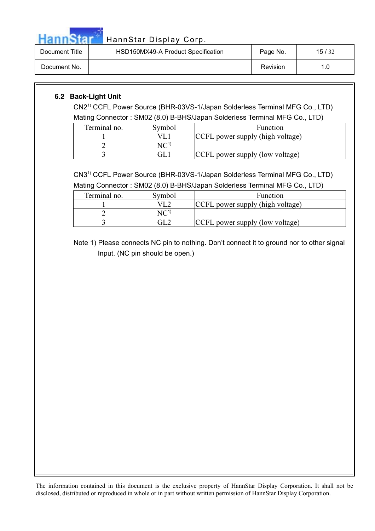

| Document Title | HSD150MX49-A Product Specification | Page No. | 15/32 |
|----------------|------------------------------------|----------|-------|
| Document No.   |                                    | Revision |       |

### **6.2 Back-Light Unit**

CN21) CCFL Power Source (BHR-03VS-1/Japan Solderless Terminal MFG Co., LTD)

Mating Connector : SM02 (8.0) B-BHS/Japan Solderless Terminal MFG Co., LTD)

| Terminal no. | Svmbol | Function                         |
|--------------|--------|----------------------------------|
|              |        | CCFL power supply (high voltage) |
|              |        |                                  |
|              | F      | CCFL power supply (low voltage)  |

CN31) CCFL Power Source (BHR-03VS-1/Japan Solderless Terminal MFG Co., LTD) Mating Connector : SM02 (8.0) B-BHS/Japan Solderless Terminal MFG Co., LTD)

| Terminal no. | Symbol | Function                         |
|--------------|--------|----------------------------------|
|              |        | CCFL power supply (high voltage) |
|              |        |                                  |
|              |        | CCFL power supply (low voltage)  |

Note 1) Please connects NC pin to nothing. Don't connect it to ground nor to other signal Input. (NC pin should be open.)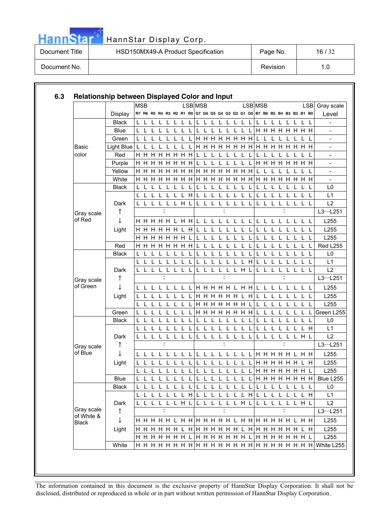

| Document Title | HSD150MX49-A Product Specification | Page No. | 16/32 |
|----------------|------------------------------------|----------|-------|
| Document No.   |                                    | Revision | 1.0   |

|            |              | <b>MSB</b> |              |              |   |    |                    |     |    | LSB MSB                         |                  |      |              |              |              |                 |         | LSB MSB         |   |             |              |              |              |       |                                                                         | LSB Gray scale |
|------------|--------------|------------|--------------|--------------|---|----|--------------------|-----|----|---------------------------------|------------------|------|--------------|--------------|--------------|-----------------|---------|-----------------|---|-------------|--------------|--------------|--------------|-------|-------------------------------------------------------------------------|----------------|
|            | Display      |            |              |              |   |    |                    |     |    |                                 |                  |      |              |              |              |                 |         |                 |   |             |              |              |              |       | R7 R6 R5 R4 R3 R2 R1 R0 G7 G6 G5 G4 G3 G2 G1 G0 B7 B6 B5 B4 B3 B2 B1 B0 | Level          |
|            | <b>Black</b> | L          |              |              |   |    |                    | L   |    | L                               |                  |      | L            |              |              |                 |         | L               |   |             |              |              |              |       | L                                                                       |                |
|            | <b>Blue</b>  | L          |              |              |   |    |                    |     |    | L                               |                  |      |              |              |              |                 |         |                 |   |             |              |              |              |       | <b>H H H H H H H</b>                                                    |                |
|            | Green        | L          |              |              |   |    |                    |     |    |                                 |                  |      |              |              |              | <b>HHHHHHH</b>  |         | L               |   |             |              |              |              |       | L                                                                       |                |
| Basic      | Light Blue   | L          |              |              |   |    |                    |     |    |                                 |                  |      |              |              |              | <b>HHHHHHH</b>  |         | H               |   | H H H       |              | H            |              |       | H H H                                                                   |                |
| color      | Red          | H H        |              | H            | H |    | H H H              |     | H  | $\mathbf{L}$                    |                  |      | $\mathbf{L}$ |              |              |                 |         | L               |   |             |              |              |              |       |                                                                         |                |
|            | Purple       |            |              |              |   |    | <b>HHHHHH</b>      |     | H  | L                               | L                | L    | $\mathbf{L}$ | $\mathbf{L}$ | L            | L               | L       |                 |   |             |              |              |              |       | <b>HHHHHHH</b>                                                          |                |
|            | Yellow       | Н.         | H            | H            | H | H. |                    | H H | H  |                                 | H H H            |      | H            | H            | H            | H.              | H       |                 |   |             |              |              |              |       |                                                                         |                |
|            | White        |            |              |              |   |    | <b>HHHHHH</b>      |     |    | <b>HHHHHHHHH</b>                |                  |      |              |              |              |                 |         |                 |   | <b>HHHH</b> |              |              |              |       | <b>HHHH</b>                                                             |                |
|            | <b>Black</b> | L          |              |              |   |    |                    | L   |    | L                               |                  |      | L            |              |              |                 |         | L               |   |             |              |              |              | L     | L                                                                       |                |
|            |              | L          |              |              |   |    |                    | L   | H  | L                               |                  |      |              |              |              |                 |         | L               |   |             |              |              |              |       | L                                                                       |                |
|            | Dark         |            |              |              |   |    | L                  | H   |    | L                               | L                |      |              |              |              |                 |         |                 |   |             |              |              |              |       |                                                                         |                |
| Gray scale | ↑            |            |              |              |   | ÷  |                    |     |    |                                 |                  |      |              |              |              |                 |         |                 |   |             |              |              |              |       |                                                                         | L3L251         |
| of Red     | ↓            |            |              |              |   |    | H H H H H L H H    |     |    | $\mathsf{L}$                    | $\mathbf{L}$     |      | $\mathbf{I}$ |              |              |                 |         | L               |   |             |              |              |              | L L L |                                                                         | L255           |
|            | Light        |            |              |              |   |    | HHHHHH             | L   | H  | $\mathbf{I}$                    |                  |      |              |              |              |                 |         |                 |   |             |              |              |              |       | L                                                                       | L255           |
|            |              |            |              |              |   |    | <b>H H H H H H</b> |     |    |                                 |                  |      |              |              |              |                 |         |                 |   |             |              |              |              |       | L                                                                       | L255           |
|            | Red          |            |              |              |   |    | <b>HHHHHHH</b>     |     | H. |                                 |                  |      |              |              |              |                 |         |                 |   |             |              |              |              |       | L                                                                       | Red L255       |
|            | <b>Black</b> | L          |              |              |   |    |                    |     |    |                                 |                  |      |              |              |              |                 |         | L               |   |             |              |              |              |       | L                                                                       |                |
|            |              |            |              |              |   |    |                    |     |    |                                 |                  |      |              |              |              |                 | H       |                 |   |             |              |              |              |       |                                                                         |                |
|            | Dark         | L          |              | L            | L | L  | -L                 | L   |    | L                               | L                | L    | L            | L            | $\mathsf L$  | H               |         | L               |   |             |              | L            | L            | ┖     | L                                                                       |                |
| Gray scale | ↑            |            |              |              |   |    |                    |     |    |                                 |                  |      |              |              |              |                 |         |                 |   |             |              |              |              |       |                                                                         | L3L251         |
| of Green   | T            |            |              | $\mathbf{L}$ |   |    | $\mathbf{I}$       | T.  | L  |                                 |                  |      |              |              |              | H H H H H L H H |         | L L             |   |             | $\mathbf{L}$ | $\mathbf{L}$ |              |       | L L L                                                                   | L255           |
|            | Light        |            |              |              |   |    |                    | L   |    |                                 | <b>H H H H H</b> |      |              |              | H            |                 | H       |                 |   |             |              |              |              |       |                                                                         | L255           |
|            |              | L          |              |              |   |    |                    |     |    |                                 | <b>HHHHHHH</b>   |      |              |              |              |                 |         |                 |   |             |              |              |              |       |                                                                         | L255           |
|            | Green        |            |              |              |   |    |                    | L   |    |                                 |                  |      |              |              |              | <b>HHHHHHH</b>  |         | L               |   |             |              |              |              | L     | L                                                                       | Green L255     |
|            | <b>Black</b> | L          |              |              |   |    |                    |     |    | T                               |                  |      |              |              |              |                 |         |                 |   |             |              |              |              |       | L                                                                       |                |
|            |              | L          |              |              |   |    |                    |     |    |                                 |                  |      |              |              |              |                 |         |                 |   |             |              |              |              |       | H                                                                       |                |
|            | Dark         |            |              | L            | L |    |                    | L   |    |                                 |                  |      | L            |              |              |                 |         | L               |   |             |              |              | L.           | H     | L                                                                       |                |
| Gray scale | T            |            |              |              |   | ÷  |                    |     |    |                                 |                  |      |              |              |              |                 |         |                 |   |             |              |              |              |       |                                                                         | L3L251         |
| of Blue    | ↓            |            |              |              |   |    | L L L L L L        | L   |    |                                 |                  |      |              |              |              |                 |         |                 |   |             |              |              |              |       | LL L L L L L L L H H H H H L H H                                        | L255           |
|            | Light        |            |              |              |   |    |                    |     |    | L                               |                  |      | L            |              |              |                 |         |                 |   | HHHH        |              |              | H H L        |       | H                                                                       | L255           |
|            |              | L          | $\mathsf{L}$ | L L          |   | L  | $\mathsf{L}$       | L   | L  | L                               |                  | LLLL |              |              |              | L L             |         | L H H H H H H L |   |             |              |              |              |       |                                                                         | L255           |
|            | Blue         |            |              |              |   |    |                    |     |    |                                 |                  |      |              |              |              |                 |         |                 |   |             |              |              |              |       |                                                                         | Blue L255      |
|            | <b>Black</b> |            |              |              |   |    |                    | L   |    | LIL L L                         |                  |      | $\mathbf{L}$ | $\mathbf{I}$ | $\mathbf{I}$ | $\mathbf{L}$    | $\perp$ | L L             |   |             |              | L            | $\mathbf{L}$ |       | L L                                                                     |                |
|            |              |            |              |              |   |    | L L L              |     |    | H L L L L L L L H               |                  |      |              |              |              |                 |         | L.              | L | L           |              | $\mathsf L$  |              |       | LLH                                                                     |                |
|            | Dark         |            |              |              |   |    |                    |     |    | L L L L L L H L L L L L L L H L |                  |      |              |              |              |                 |         |                 |   |             |              |              |              |       | LLLLLLHL                                                                |                |
| Gray scale | ↑            |            |              |              |   | ÷  |                    |     |    |                                 |                  |      |              |              |              |                 |         |                 |   |             |              | ÷            |              |       |                                                                         | L3L251         |
| of White & | ↓            |            |              |              |   |    |                    |     |    |                                 |                  |      |              |              |              |                 |         |                 |   |             |              |              |              |       |                                                                         | L255           |
| Black      |              |            |              |              |   |    |                    |     |    |                                 |                  |      |              |              |              |                 |         |                 |   |             |              |              |              |       |                                                                         |                |
|            | Light        |            |              |              |   |    |                    |     |    |                                 |                  |      |              |              |              |                 |         |                 |   |             |              |              |              |       |                                                                         | L255           |
|            | White        |            |              |              |   |    |                    |     |    |                                 |                  |      |              |              |              |                 |         |                 |   |             |              |              |              |       |                                                                         | L255           |
|            |              |            |              |              |   |    |                    |     |    |                                 |                  |      |              |              |              |                 |         |                 |   |             |              |              |              |       |                                                                         |                |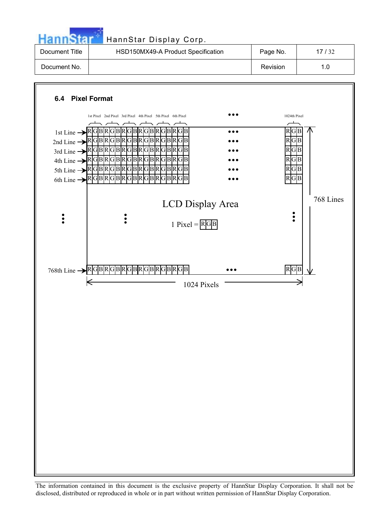

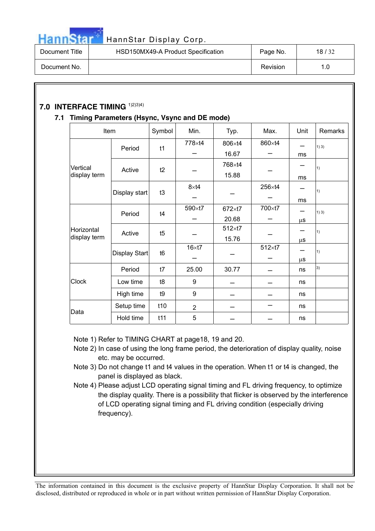

| Document Title | HSD150MX49-A Product Specification | Page No. | 18/32 |
|----------------|------------------------------------|----------|-------|
| Document No.   |                                    | Revision | 1.0   |

### **7.0 INTERFACE TIMING** 1)2)3)4)

### **7.1 Timing Parameters (Hsync, Vsync and DE mode)**

| Item         |               | Symbol         | Min.             | Typ.          | Max.           | Unit    | Remarks |
|--------------|---------------|----------------|------------------|---------------|----------------|---------|---------|
|              | Period        | t1             | 778×t4           | 806×t4        | 860×t4         |         | 1)3)    |
|              |               |                |                  | 16.67         |                | ms      |         |
| Vertical     | Active        | t2             |                  | 768×t4        |                |         | 1)      |
| display term |               |                |                  | 15.88         |                | ms      |         |
|              |               | t3             | $8\times$ t4     |               | 256×t4         |         | 1)      |
|              | Display start |                |                  |               |                | ms      |         |
|              | Period        | t4             | 590×t7           | 672×t7        | 700×t7         |         | 1)3)    |
|              |               |                |                  | 20.68         |                | μS      |         |
| Horizontal   | Active        | t5             |                  | $512\times17$ |                |         | 1)      |
| display term |               |                |                  | 15.76         |                | μS      |         |
|              | Display Start | t <sub>6</sub> | $16 \times 17$   |               | $512\times t7$ |         | 1)      |
|              |               |                |                  |               |                | $\mu$ s |         |
|              | Period        | t7             | 25.00            | 30.77         |                | ns      | 3)      |
| Clock        | Low time      | t8             | 9                |               |                | ns      |         |
|              | High time     | t9             | $\boldsymbol{9}$ |               |                | ns      |         |
|              | Setup time    | t10            | $\overline{2}$   |               |                | ns      |         |
| Data         | Hold time     | t11            | 5                |               |                | ns      |         |

Note 1) Refer to TIMING CHART at page18, 19 and 20.

- Note 2) In case of using the long frame period, the deterioration of display quality, noise etc. may be occurred.
- Note 3) Do not change t1 and t4 values in the operation. When t1 or t4 is changed, the panel is displayed as black.
- Note 4) Please adjust LCD operating signal timing and FL driving frequency, to optimize the display quality. There is a possibility that flicker is observed by the interference of LCD operating signal timing and FL driving condition (especially driving frequency).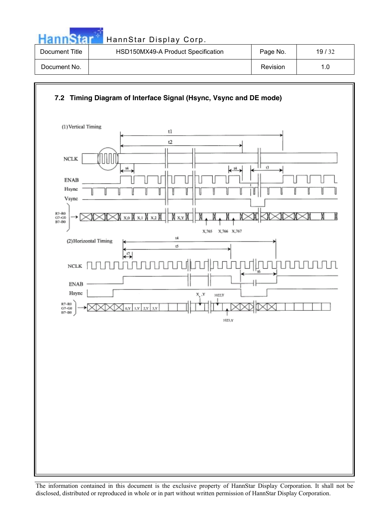| Hanne          | HannStar Display Corp.             |          |       |
|----------------|------------------------------------|----------|-------|
| Document Title | HSD150MX49-A Product Specification | Page No. | 19/32 |
| Document No.   |                                    | Revision | 1.0   |

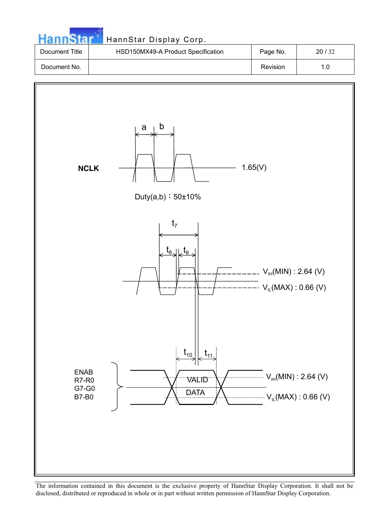| <b>HannStar</b> |  |  |
|-----------------|--|--|
|                 |  |  |
|                 |  |  |

### HannStar Display Corp.

| Document Title | HSD150MX49-A Product Specification | Page No. | 20/32 |
|----------------|------------------------------------|----------|-------|
| Document No.   |                                    | Revision |       |

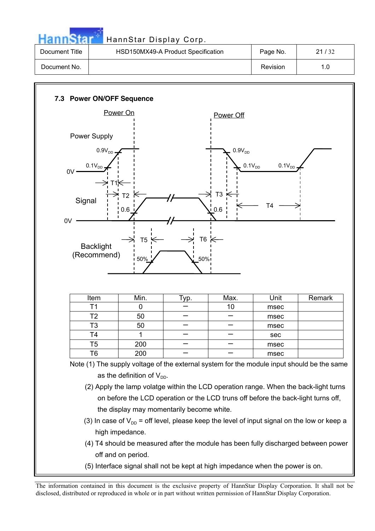

| Document Title | HSD150MX49-A Product Specification | Page No. | 21/32 |
|----------------|------------------------------------|----------|-------|
| Document No.   |                                    | Revision | 1.0   |

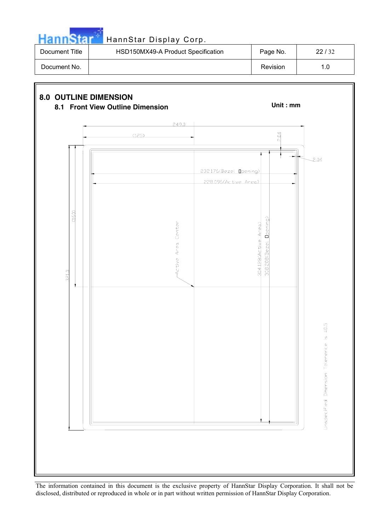

| Document Title | HSD150MX49-A Product Specification | Page No. | 22/32 |
|----------------|------------------------------------|----------|-------|
| Document No.   |                                    | Revision |       |

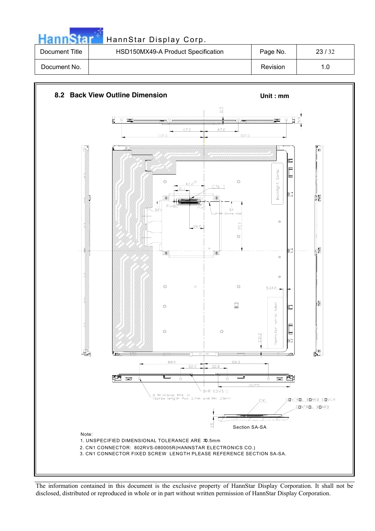|                | HannStar Display Corp.             |          |       |
|----------------|------------------------------------|----------|-------|
| Document Title | HSD150MX49-A Product Specification | Page No. | 23/32 |
| Document No.   |                                    | Revision | 1.0   |

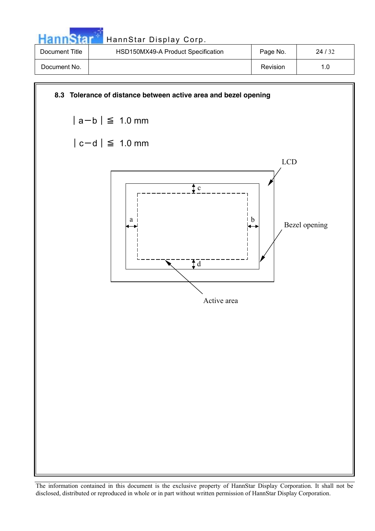|                | HannStar Display Corp.             |          |       |
|----------------|------------------------------------|----------|-------|
| Document Title | HSD150MX49-A Product Specification | Page No. | 24/32 |
| Document No.   |                                    | Revision | 1.0   |

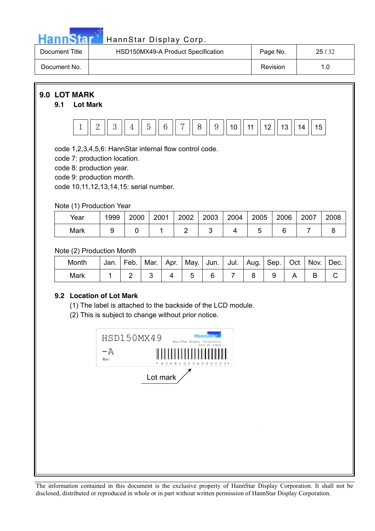

| Document Title | HSD150MX49-A Product Specification | Page No. | 25/32 |
|----------------|------------------------------------|----------|-------|
| Document No.   |                                    | Revision |       |

**9.0 LOT MARK**

#### **9.1 Lot Mark**



code 1,2,3,4,5,6: HannStar internal flow control code.

code 7: production location.

code 8: production year.

code 9: production month.

code 10,11,12,13,14,15: serial number.

### Note (1) Production Year

| Year | 1999 | 2000 | 2001 | 2002 | 2003 | 2004 | 2005 | 2006 | 2007 | 2008 |
|------|------|------|------|------|------|------|------|------|------|------|
| Mark |      |      |      |      |      |      |      |      |      |      |

### Note (2) Production Month

| Month | Jan. | Feb. | Mar. Apr. | May.   Jun.   Jul.   Aug.   Sep. |  |  | Oct | Nov. | Dec. |
|-------|------|------|-----------|----------------------------------|--|--|-----|------|------|
| Mark  |      |      |           |                                  |  |  |     |      |      |

### **9.2 Location of Lot Mark**

(1) The label is attached to the backside of the LCD module.

(2) This is subject to change without prior notice.

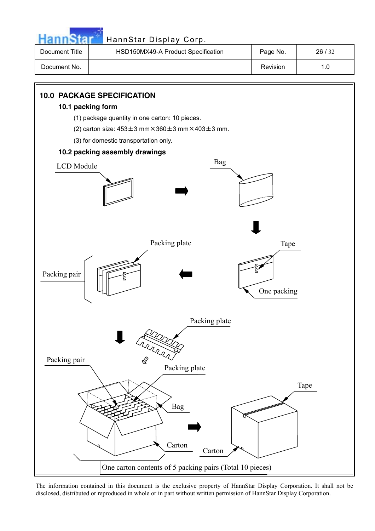

| Document Title | HSD150MX49-A Product Specification | Page No. | 26/32 |
|----------------|------------------------------------|----------|-------|
| Document No.   |                                    | Revision |       |

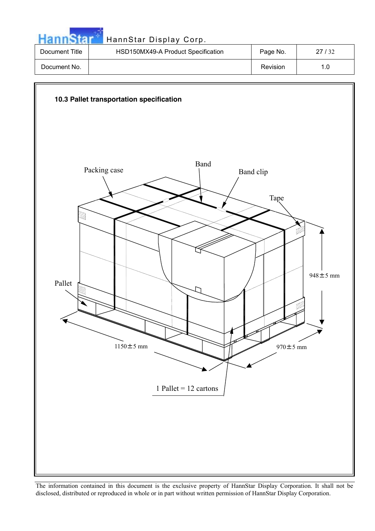|                | HannStar Display Corp.             |          |       |
|----------------|------------------------------------|----------|-------|
| Document Title | HSD150MX49-A Product Specification | Page No. | 27/32 |
| Document No.   |                                    | Revision | 1.0   |

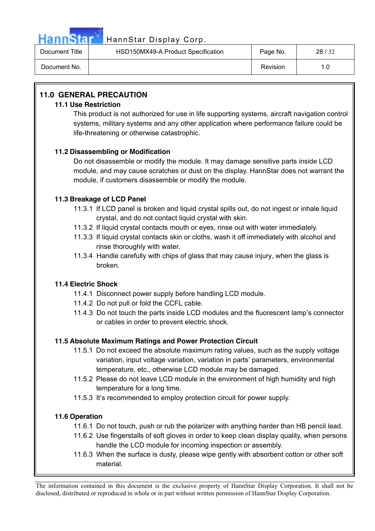

| Document Title | HSD150MX49-A Product Specification | Page No. | 28/32 |
|----------------|------------------------------------|----------|-------|
| Document No.   |                                    | Revision | 1.0   |

### **11.0 GENERAL PRECAUTION**

#### **11.1 Use Restriction**

This product is not authorized for use in life supporting systems, aircraft navigation control systems, military systems and any other application where performance failure could be life-threatening or otherwise catastrophic.

### **11.2 Disassembling or Modification**

Do not disassemble or modify the module. It may damage sensitive parts inside LCD module, and may cause scratches or dust on the display. HannStar does not warrant the module, if customers disassemble or modify the module.

### **11.3 Breakage of LCD Panel**

- 11.3.1 If LCD panel is broken and liquid crystal spills out, do not ingest or inhale liquid crystal, and do not contact liquid crystal with skin.
- 11.3.2 If liquid crystal contacts mouth or eyes, rinse out with water immediately.
- 11.3.3 If liquid crystal contacts skin or cloths, wash it off immediately with alcohol and rinse thoroughly with water.
- 11.3.4 Handle carefully with chips of glass that may cause injury, when the glass is broken.

### **11.4 Electric Shock**

- 11.4.1 Disconnect power supply before handling LCD module.
- 11.4.2 Do not pull or fold the CCFL cable.
- 11.4.3 Do not touch the parts inside LCD modules and the fluorescent lamp's connector or cables in order to prevent electric shock.

### **11.5 Absolute Maximum Ratings and Power Protection Circuit**

- 11.5.1 Do not exceed the absolute maximum rating values, such as the supply voltage variation, input voltage variation, variation in parts' parameters, environmental temperature, etc., otherwise LCD module may be damaged.
- 11.5.2 Please do not leave LCD module in the environment of high humidity and high temperature for a long time.
- 11.5.3 It's recommended to employ protection circuit for power supply.

### **11.6 Operation**

- 11.6.1 Do not touch, push or rub the polarizer with anything harder than HB pencil lead.
- 11.6.2 Use fingerstalls of soft gloves in order to keep clean display quality, when persons handle the LCD module for incoming inspection or assembly.
- 11.6.3 When the surface is dusty, please wipe gently with absorbent cotton or other soft material.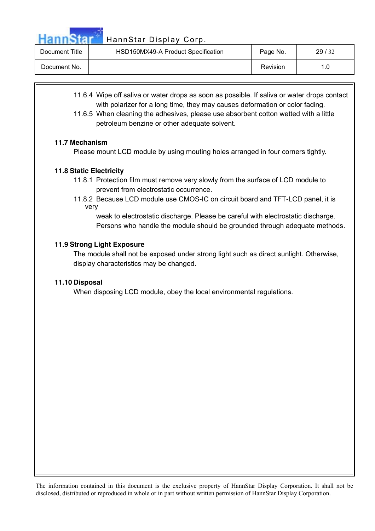| Document Title | HSD150MX49-A Product Specification | Page No. | 29/32 |
|----------------|------------------------------------|----------|-------|
| Document No.   |                                    | Revision |       |

- 11.6.4 Wipe off saliva or water drops as soon as possible. If saliva or water drops contact with polarizer for a long time, they may causes deformation or color fading.
- 11.6.5 When cleaning the adhesives, please use absorbent cotton wetted with a little petroleum benzine or other adequate solvent.

#### **11.7 Mechanism**

Please mount LCD module by using mouting holes arranged in four corners tightly.

#### **11.8 Static Electricity**

- 11.8.1 Protection film must remove very slowly from the surface of LCD module to prevent from electrostatic occurrence.
- 11.8.2 Because LCD module use CMOS-IC on circuit board and TFT-LCD panel, it is very

weak to electrostatic discharge. Please be careful with electrostatic discharge. Persons who handle the module should be grounded through adequate methods.

#### **11.9 Strong Light Exposure**

The module shall not be exposed under strong light such as direct sunlight. Otherwise, display characteristics may be changed.

#### **11.10 Disposal**

When disposing LCD module, obey the local environmental regulations.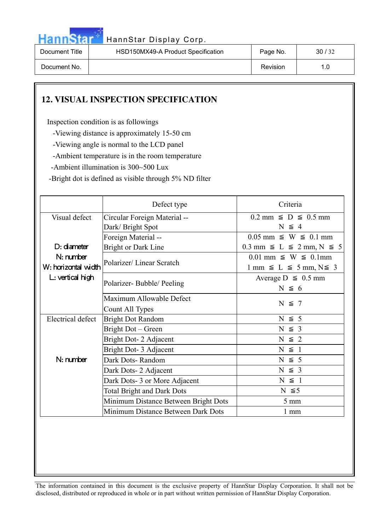

| Document Title | HSD150MX49-A Product Specification | Page No. | 30/32 |
|----------------|------------------------------------|----------|-------|
| Document No.   |                                    | Revision | 1.0   |

### **12. VISUAL INSPECTION SPECIFICATION**

Inspection condition is as followings

-Viewing distance is approximately 15-50 cm

-Viewing angle is normal to the LCD panel

-Ambient temperature is in the room temperature

-Ambient illumination is 300~500 Lux

-Bright dot is defined as visible through 5% ND filter

|                                    | Defect type                                       | Criteria                                                                              |  |
|------------------------------------|---------------------------------------------------|---------------------------------------------------------------------------------------|--|
| Visual defect                      | Circular Foreign Material --<br>Dark/Bright Spot  | $0.2$ mm $\leq$ D $\leq$ 0.5 mm<br>$N \leq 4$                                         |  |
| $D:$ diameter                      | Foreign Material --<br><b>Bright or Dark Line</b> | $0.05$ mm $\leq$ W $\leq$ 0.1 mm<br>$0.3$ mm $\leq L \leq 2$ mm, $N \leq 5$           |  |
| $N:$ number<br>W: horizontal width | Polarizer/Linear Scratch                          | $0.01$ mm $\leq$ W $\leq$ 0.1mm<br>$1 \text{ mm } \leq L \leq 5 \text{ mm}, N \leq 3$ |  |
| L: vertical high                   | Polarizer-Bubble/Peeling                          | Average $D \leq 0.5$ mm<br>$N \leq 6$                                                 |  |
|                                    | Maximum Allowable Defect<br>Count All Types       | $N \leq 7$                                                                            |  |
| Electrical defect                  | <b>Bright Dot Random</b>                          | $N \leq 5$                                                                            |  |
|                                    | Bright Dot – Green                                | $N \leq 3$                                                                            |  |
|                                    | Bright Dot- 2 Adjacent                            | $N \leq 2$                                                                            |  |
| $N:$ number                        | Bright Dot- 3 Adjacent                            | $N \leq 1$                                                                            |  |
|                                    | Dark Dots-Random                                  | $N \leq 5$                                                                            |  |
|                                    | Dark Dots-2 Adjacent                              | $N \leq 3$                                                                            |  |
|                                    | Dark Dots-3 or More Adjacent                      | $N \leq 1$                                                                            |  |
|                                    | <b>Total Bright and Dark Dots</b>                 | $N \leq 5$                                                                            |  |
|                                    | Minimum Distance Between Bright Dots              | $5 \text{ mm}$                                                                        |  |
|                                    | Minimum Distance Between Dark Dots                | $1 \text{ mm}$                                                                        |  |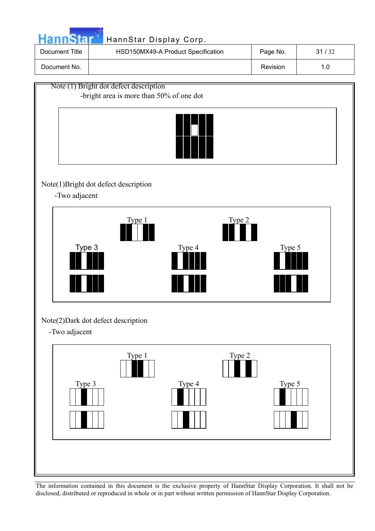|                                                                                    | HannStar Display Corp.             |          |       |  |
|------------------------------------------------------------------------------------|------------------------------------|----------|-------|--|
| Document Title                                                                     | HSD150MX49-A Product Specification | Page No. | 31/32 |  |
| Document No.                                                                       |                                    | Revision | 1.0   |  |
| Note (1) Bright dot defect description<br>-bright area is more than 50% of one dot |                                    |          |       |  |



### Note(1)Bright dot defect description

-Two adjacent



### Note(2)Dark dot defect description

-Two adjacent